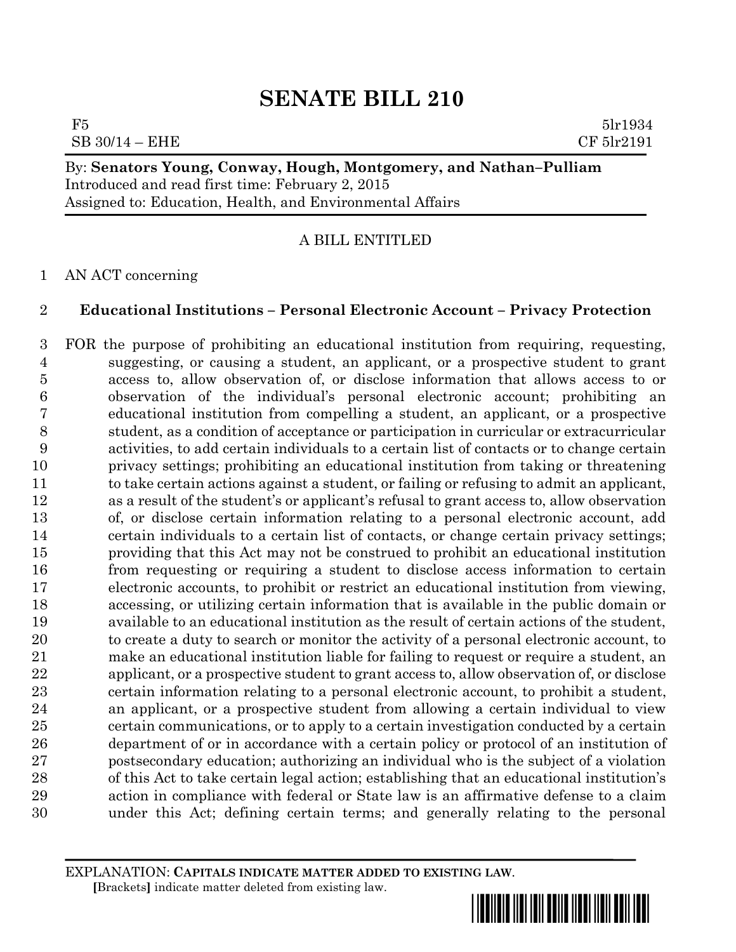## **SENATE BILL 210**

 $F5$  5lr1934  $\text{SB } 30/14 - \text{EHE}$  CF 5lr2191

By: **Senators Young, Conway, Hough, Montgomery, and Nathan–Pulliam** Introduced and read first time: February 2, 2015 Assigned to: Education, Health, and Environmental Affairs

A BILL ENTITLED

AN ACT concerning

## **Educational Institutions – Personal Electronic Account – Privacy Protection**

 FOR the purpose of prohibiting an educational institution from requiring, requesting, suggesting, or causing a student, an applicant, or a prospective student to grant access to, allow observation of, or disclose information that allows access to or observation of the individual's personal electronic account; prohibiting an educational institution from compelling a student, an applicant, or a prospective student, as a condition of acceptance or participation in curricular or extracurricular activities, to add certain individuals to a certain list of contacts or to change certain privacy settings; prohibiting an educational institution from taking or threatening to take certain actions against a student, or failing or refusing to admit an applicant, as a result of the student's or applicant's refusal to grant access to, allow observation of, or disclose certain information relating to a personal electronic account, add certain individuals to a certain list of contacts, or change certain privacy settings; providing that this Act may not be construed to prohibit an educational institution from requesting or requiring a student to disclose access information to certain electronic accounts, to prohibit or restrict an educational institution from viewing, accessing, or utilizing certain information that is available in the public domain or available to an educational institution as the result of certain actions of the student, to create a duty to search or monitor the activity of a personal electronic account, to make an educational institution liable for failing to request or require a student, an applicant, or a prospective student to grant access to, allow observation of, or disclose certain information relating to a personal electronic account, to prohibit a student, an applicant, or a prospective student from allowing a certain individual to view certain communications, or to apply to a certain investigation conducted by a certain department of or in accordance with a certain policy or protocol of an institution of postsecondary education; authorizing an individual who is the subject of a violation of this Act to take certain legal action; establishing that an educational institution's action in compliance with federal or State law is an affirmative defense to a claim under this Act; defining certain terms; and generally relating to the personal

EXPLANATION: **CAPITALS INDICATE MATTER ADDED TO EXISTING LAW**.  **[**Brackets**]** indicate matter deleted from existing law.

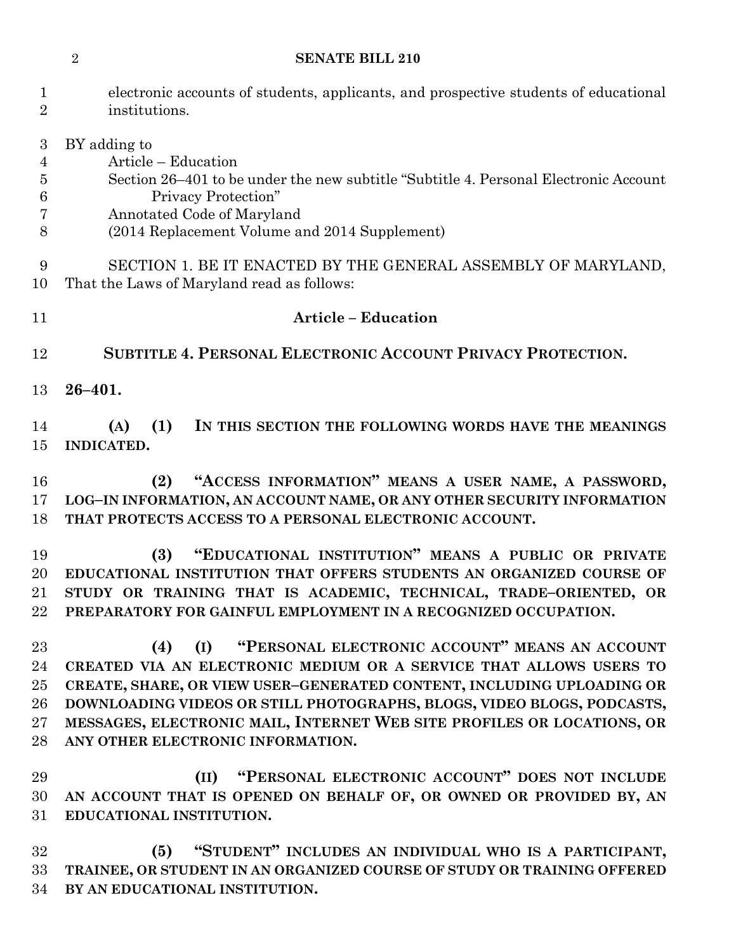## **SENATE BILL 210**

| $\mathbf{1}$<br>$\overline{2}$                           | electronic accounts of students, applicants, and prospective students of educational<br>institutions.                                                                                                                                                                                                                                                                                             |
|----------------------------------------------------------|---------------------------------------------------------------------------------------------------------------------------------------------------------------------------------------------------------------------------------------------------------------------------------------------------------------------------------------------------------------------------------------------------|
| 3<br>$\overline{4}$<br>$\overline{5}$<br>$\,6$<br>7<br>8 | BY adding to<br>Article – Education<br>Section 26–401 to be under the new subtitle "Subtitle 4. Personal Electronic Account"<br>Privacy Protection"<br>Annotated Code of Maryland<br>(2014 Replacement Volume and 2014 Supplement)                                                                                                                                                                |
| 9<br>10                                                  | SECTION 1. BE IT ENACTED BY THE GENERAL ASSEMBLY OF MARYLAND,<br>That the Laws of Maryland read as follows:                                                                                                                                                                                                                                                                                       |
| 11                                                       | <b>Article - Education</b>                                                                                                                                                                                                                                                                                                                                                                        |
| 12                                                       | SUBTITLE 4. PERSONAL ELECTRONIC ACCOUNT PRIVACY PROTECTION.                                                                                                                                                                                                                                                                                                                                       |
| 13                                                       | $26 - 401.$                                                                                                                                                                                                                                                                                                                                                                                       |
| 14<br>15                                                 | (1)<br>IN THIS SECTION THE FOLLOWING WORDS HAVE THE MEANINGS<br>(A)<br><b>INDICATED.</b>                                                                                                                                                                                                                                                                                                          |
| 16<br>17<br>18                                           | "ACCESS INFORMATION" MEANS A USER NAME, A PASSWORD,<br>(2)<br>LOG-IN INFORMATION, AN ACCOUNT NAME, OR ANY OTHER SECURITY INFORMATION<br>THAT PROTECTS ACCESS TO A PERSONAL ELECTRONIC ACCOUNT.                                                                                                                                                                                                    |
| 19<br>20<br>21<br>22                                     | (3)<br>"EDUCATIONAL INSTITUTION" MEANS A PUBLIC OR PRIVATE<br>EDUCATIONAL INSTITUTION THAT OFFERS STUDENTS AN ORGANIZED COURSE OF<br>STUDY OR TRAINING THAT IS ACADEMIC, TECHNICAL, TRADE-ORIENTED, OR<br>PREPARATORY FOR GAINFUL EMPLOYMENT IN A RECOGNIZED OCCUPATION.                                                                                                                          |
| 23<br>24<br>25<br>26<br>27<br>28                         | (I) "PERSONAL ELECTRONIC ACCOUNT" MEANS AN ACCOUNT<br>(4)<br>CREATED VIA AN ELECTRONIC MEDIUM OR A SERVICE THAT ALLOWS USERS TO<br>CREATE, SHARE, OR VIEW USER-GENERATED CONTENT, INCLUDING UPLOADING OR<br>DOWNLOADING VIDEOS OR STILL PHOTOGRAPHS, BLOGS, VIDEO BLOGS, PODCASTS,<br>MESSAGES, ELECTRONIC MAIL, INTERNET WEB SITE PROFILES OR LOCATIONS, OR<br>ANY OTHER ELECTRONIC INFORMATION. |
| 29<br>30<br>31                                           | (II) "PERSONAL ELECTRONIC ACCOUNT" DOES NOT INCLUDE<br>AN ACCOUNT THAT IS OPENED ON BEHALF OF, OR OWNED OR PROVIDED BY, AN<br>EDUCATIONAL INSTITUTION.                                                                                                                                                                                                                                            |
| 32<br>33<br>34                                           | "STUDENT" INCLUDES AN INDIVIDUAL WHO IS A PARTICIPANT,<br>(5)<br>TRAINEE, OR STUDENT IN AN ORGANIZED COURSE OF STUDY OR TRAINING OFFERED<br>BY AN EDUCATIONAL INSTITUTION.                                                                                                                                                                                                                        |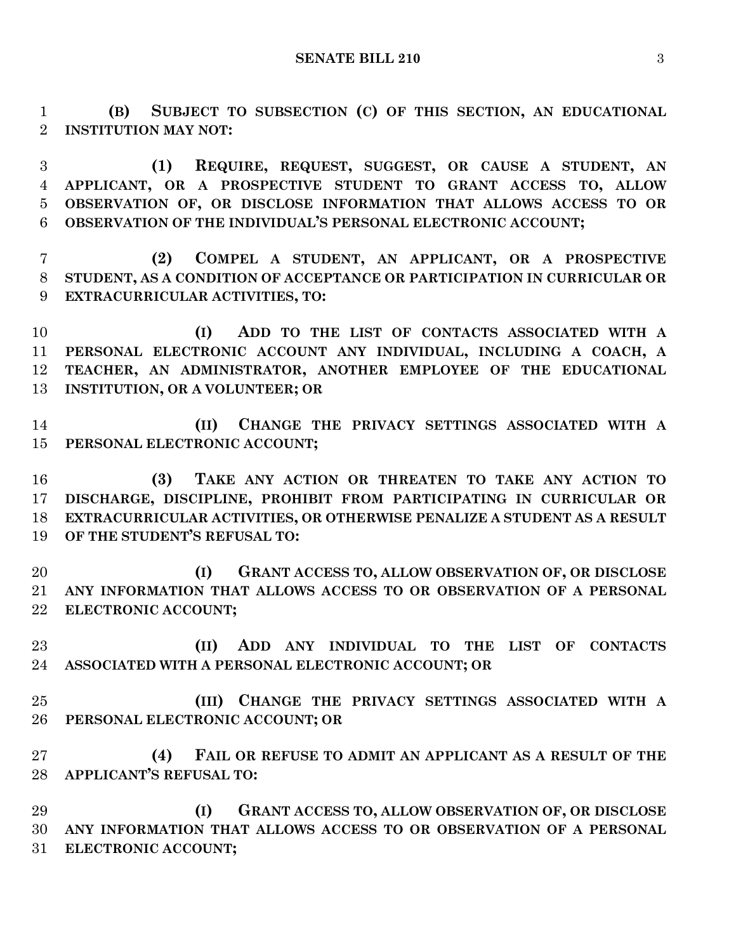**(B) SUBJECT TO SUBSECTION (C) OF THIS SECTION, AN EDUCATIONAL INSTITUTION MAY NOT:**

 **(1) REQUIRE, REQUEST, SUGGEST, OR CAUSE A STUDENT, AN APPLICANT, OR A PROSPECTIVE STUDENT TO GRANT ACCESS TO, ALLOW OBSERVATION OF, OR DISCLOSE INFORMATION THAT ALLOWS ACCESS TO OR OBSERVATION OF THE INDIVIDUAL'S PERSONAL ELECTRONIC ACCOUNT;**

 **(2) COMPEL A STUDENT, AN APPLICANT, OR A PROSPECTIVE STUDENT, AS A CONDITION OF ACCEPTANCE OR PARTICIPATION IN CURRICULAR OR EXTRACURRICULAR ACTIVITIES, TO:**

 **(I) ADD TO THE LIST OF CONTACTS ASSOCIATED WITH A PERSONAL ELECTRONIC ACCOUNT ANY INDIVIDUAL, INCLUDING A COACH, A TEACHER, AN ADMINISTRATOR, ANOTHER EMPLOYEE OF THE EDUCATIONAL INSTITUTION, OR A VOLUNTEER; OR**

 **(II) CHANGE THE PRIVACY SETTINGS ASSOCIATED WITH A PERSONAL ELECTRONIC ACCOUNT;**

 **(3) TAKE ANY ACTION OR THREATEN TO TAKE ANY ACTION TO DISCHARGE, DISCIPLINE, PROHIBIT FROM PARTICIPATING IN CURRICULAR OR EXTRACURRICULAR ACTIVITIES, OR OTHERWISE PENALIZE A STUDENT AS A RESULT OF THE STUDENT'S REFUSAL TO:**

 **(I) GRANT ACCESS TO, ALLOW OBSERVATION OF, OR DISCLOSE ANY INFORMATION THAT ALLOWS ACCESS TO OR OBSERVATION OF A PERSONAL ELECTRONIC ACCOUNT;**

 **(II) ADD ANY INDIVIDUAL TO THE LIST OF CONTACTS ASSOCIATED WITH A PERSONAL ELECTRONIC ACCOUNT; OR**

 **(III) CHANGE THE PRIVACY SETTINGS ASSOCIATED WITH A PERSONAL ELECTRONIC ACCOUNT; OR**

 **(4) FAIL OR REFUSE TO ADMIT AN APPLICANT AS A RESULT OF THE APPLICANT'S REFUSAL TO:**

 **(I) GRANT ACCESS TO, ALLOW OBSERVATION OF, OR DISCLOSE ANY INFORMATION THAT ALLOWS ACCESS TO OR OBSERVATION OF A PERSONAL ELECTRONIC ACCOUNT;**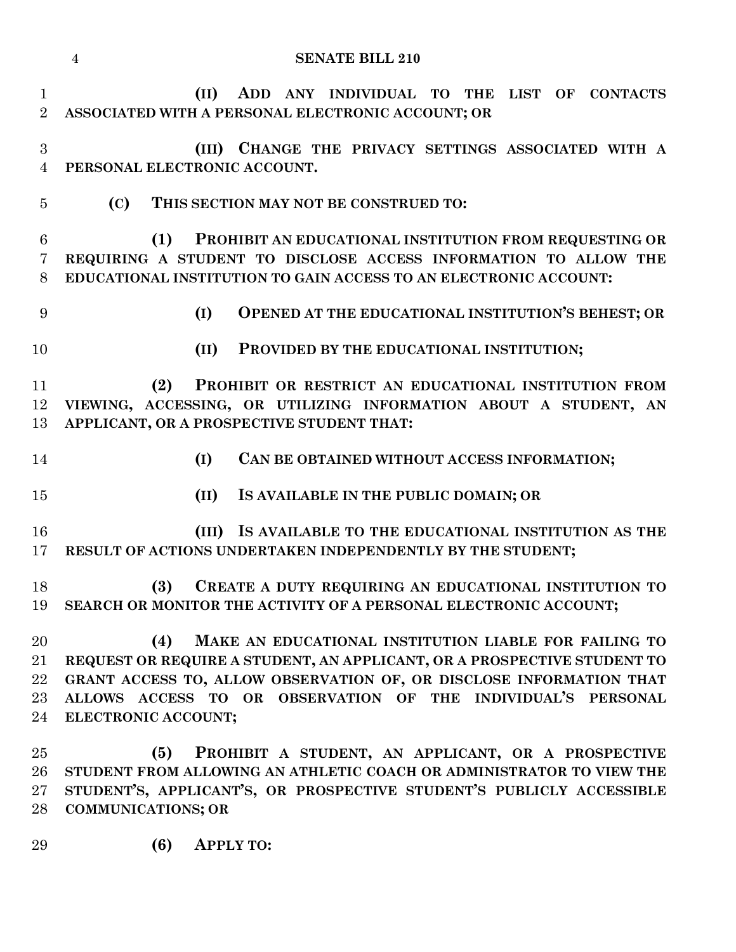|                                | <b>SENATE BILL 210</b><br>$\overline{4}$                                                                                                                                                                                                                                                              |
|--------------------------------|-------------------------------------------------------------------------------------------------------------------------------------------------------------------------------------------------------------------------------------------------------------------------------------------------------|
| $\mathbf{1}$<br>$\overline{2}$ | (II)<br>ADD ANY INDIVIDUAL TO THE LIST OF CONTACTS<br>ASSOCIATED WITH A PERSONAL ELECTRONIC ACCOUNT; OR                                                                                                                                                                                               |
| 3<br>$\overline{4}$            | (III) CHANGE THE PRIVACY SETTINGS ASSOCIATED WITH A<br>PERSONAL ELECTRONIC ACCOUNT.                                                                                                                                                                                                                   |
| $\overline{5}$                 | (C)<br>THIS SECTION MAY NOT BE CONSTRUED TO:                                                                                                                                                                                                                                                          |
| $\,6\,$<br>7<br>8              | (1)<br>PROHIBIT AN EDUCATIONAL INSTITUTION FROM REQUESTING OR<br>REQUIRING A STUDENT TO DISCLOSE ACCESS INFORMATION TO ALLOW THE<br>EDUCATIONAL INSTITUTION TO GAIN ACCESS TO AN ELECTRONIC ACCOUNT:                                                                                                  |
| 9                              | OPENED AT THE EDUCATIONAL INSTITUTION'S BEHEST; OR<br>(I)                                                                                                                                                                                                                                             |
| 10                             | (II)<br>PROVIDED BY THE EDUCATIONAL INSTITUTION;                                                                                                                                                                                                                                                      |
| 11<br>12<br>13                 | PROHIBIT OR RESTRICT AN EDUCATIONAL INSTITUTION FROM<br>(2)<br>VIEWING, ACCESSING, OR UTILIZING INFORMATION ABOUT A STUDENT, AN<br>APPLICANT, OR A PROSPECTIVE STUDENT THAT:                                                                                                                          |
| 14                             | CAN BE OBTAINED WITHOUT ACCESS INFORMATION;<br>(I)                                                                                                                                                                                                                                                    |
| 15                             | (II)<br>IS AVAILABLE IN THE PUBLIC DOMAIN; OR                                                                                                                                                                                                                                                         |
| 16<br>17                       | (III) IS AVAILABLE TO THE EDUCATIONAL INSTITUTION AS THE<br>RESULT OF ACTIONS UNDERTAKEN INDEPENDENTLY BY THE STUDENT;                                                                                                                                                                                |
| 18<br>19                       | (3)<br>CREATE A DUTY REQUIRING AN EDUCATIONAL INSTITUTION TO<br>SEARCH OR MONITOR THE ACTIVITY OF A PERSONAL ELECTRONIC ACCOUNT;                                                                                                                                                                      |
| 20<br>21<br>22<br>23<br>24     | MAKE AN EDUCATIONAL INSTITUTION LIABLE FOR FAILING TO<br>(4)<br>REQUEST OR REQUIRE A STUDENT, AN APPLICANT, OR A PROSPECTIVE STUDENT TO<br>GRANT ACCESS TO, ALLOW OBSERVATION OF, OR DISCLOSE INFORMATION THAT<br>ALLOWS ACCESS TO OR OBSERVATION OF THE INDIVIDUAL'S PERSONAL<br>ELECTRONIC ACCOUNT; |
| 25<br>26<br>27<br>28<br>29     | PROHIBIT A STUDENT, AN APPLICANT, OR A PROSPECTIVE<br>(5)<br>STUDENT FROM ALLOWING AN ATHLETIC COACH OR ADMINISTRATOR TO VIEW THE<br>STUDENT'S, APPLICANT'S, OR PROSPECTIVE STUDENT'S PUBLICLY ACCESSIBLE<br><b>COMMUNICATIONS; OR</b>                                                                |
|                                | (6)<br><b>APPLY TO:</b>                                                                                                                                                                                                                                                                               |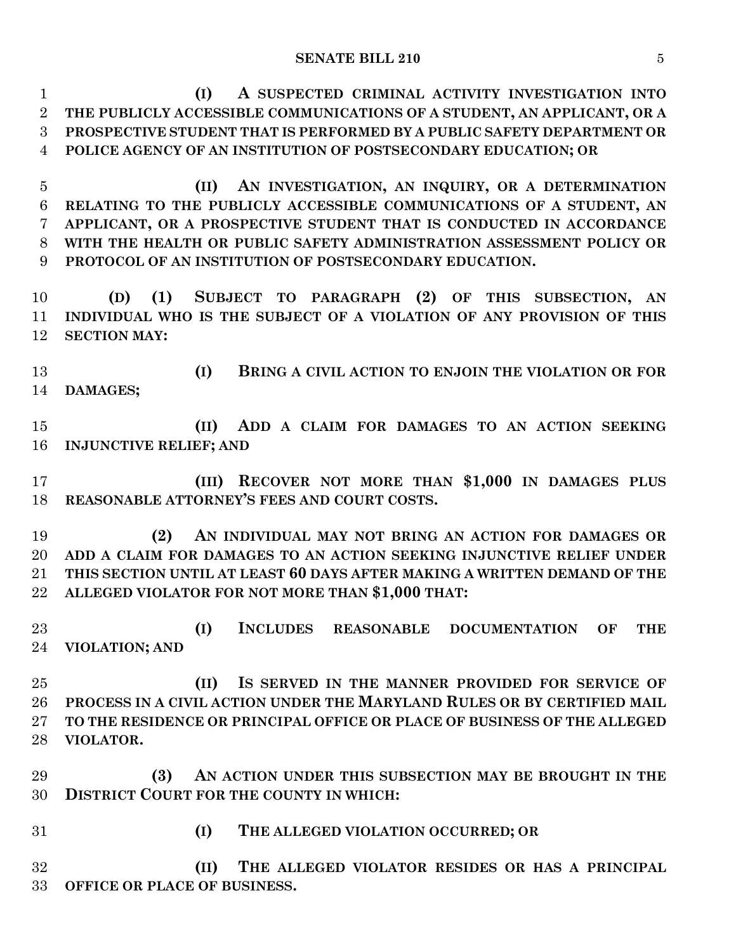**(I) A SUSPECTED CRIMINAL ACTIVITY INVESTIGATION INTO THE PUBLICLY ACCESSIBLE COMMUNICATIONS OF A STUDENT, AN APPLICANT, OR A PROSPECTIVE STUDENT THAT IS PERFORMED BY A PUBLIC SAFETY DEPARTMENT OR POLICE AGENCY OF AN INSTITUTION OF POSTSECONDARY EDUCATION; OR**

 **(II) AN INVESTIGATION, AN INQUIRY, OR A DETERMINATION RELATING TO THE PUBLICLY ACCESSIBLE COMMUNICATIONS OF A STUDENT, AN APPLICANT, OR A PROSPECTIVE STUDENT THAT IS CONDUCTED IN ACCORDANCE WITH THE HEALTH OR PUBLIC SAFETY ADMINISTRATION ASSESSMENT POLICY OR PROTOCOL OF AN INSTITUTION OF POSTSECONDARY EDUCATION.**

 **(D) (1) SUBJECT TO PARAGRAPH (2) OF THIS SUBSECTION, AN INDIVIDUAL WHO IS THE SUBJECT OF A VIOLATION OF ANY PROVISION OF THIS SECTION MAY:**

 **(I) BRING A CIVIL ACTION TO ENJOIN THE VIOLATION OR FOR DAMAGES;**

 **(II) ADD A CLAIM FOR DAMAGES TO AN ACTION SEEKING INJUNCTIVE RELIEF; AND**

 **(III) RECOVER NOT MORE THAN \$1,000 IN DAMAGES PLUS REASONABLE ATTORNEY'S FEES AND COURT COSTS.**

 **(2) AN INDIVIDUAL MAY NOT BRING AN ACTION FOR DAMAGES OR ADD A CLAIM FOR DAMAGES TO AN ACTION SEEKING INJUNCTIVE RELIEF UNDER THIS SECTION UNTIL AT LEAST 60 DAYS AFTER MAKING A WRITTEN DEMAND OF THE ALLEGED VIOLATOR FOR NOT MORE THAN \$1,000 THAT:**

 **(I) INCLUDES REASONABLE DOCUMENTATION OF THE VIOLATION; AND**

 **(II) IS SERVED IN THE MANNER PROVIDED FOR SERVICE OF PROCESS IN A CIVIL ACTION UNDER THE MARYLAND RULES OR BY CERTIFIED MAIL TO THE RESIDENCE OR PRINCIPAL OFFICE OR PLACE OF BUSINESS OF THE ALLEGED VIOLATOR.**

 **(3) AN ACTION UNDER THIS SUBSECTION MAY BE BROUGHT IN THE DISTRICT COURT FOR THE COUNTY IN WHICH:**

- 
- **(I) THE ALLEGED VIOLATION OCCURRED; OR**

 **(II) THE ALLEGED VIOLATOR RESIDES OR HAS A PRINCIPAL OFFICE OR PLACE OF BUSINESS.**